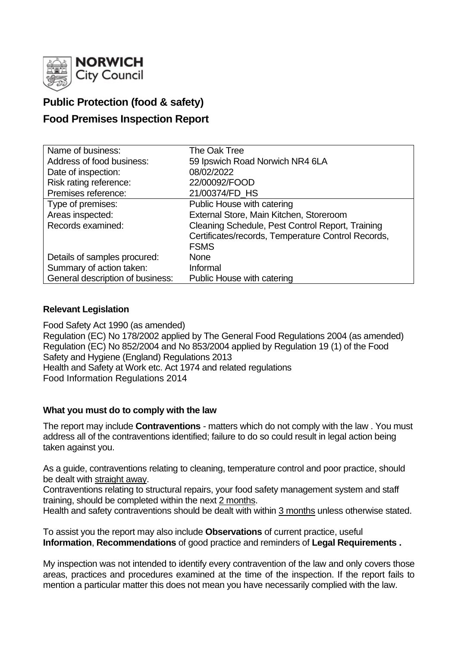

# **Public Protection (food & safety)**

# **Food Premises Inspection Report**

| Name of business:                | The Oak Tree                                       |
|----------------------------------|----------------------------------------------------|
| Address of food business:        | 59 Ipswich Road Norwich NR4 6LA                    |
| Date of inspection:              | 08/02/2022                                         |
| Risk rating reference:           | 22/00092/FOOD                                      |
| Premises reference:              | 21/00374/FD_HS                                     |
| Type of premises:                | Public House with catering                         |
| Areas inspected:                 | External Store, Main Kitchen, Storeroom            |
| Records examined:                | Cleaning Schedule, Pest Control Report, Training   |
|                                  | Certificates/records, Temperature Control Records, |
|                                  | <b>FSMS</b>                                        |
| Details of samples procured:     | <b>None</b>                                        |
| Summary of action taken:         | Informal                                           |
| General description of business: | Public House with catering                         |

## **Relevant Legislation**

Food Safety Act 1990 (as amended) Regulation (EC) No 178/2002 applied by The General Food Regulations 2004 (as amended) Regulation (EC) No 852/2004 and No 853/2004 applied by Regulation 19 (1) of the Food Safety and Hygiene (England) Regulations 2013 Health and Safety at Work etc. Act 1974 and related regulations Food Information Regulations 2014

### **What you must do to comply with the law**

The report may include **Contraventions** - matters which do not comply with the law . You must address all of the contraventions identified; failure to do so could result in legal action being taken against you.

As a guide, contraventions relating to cleaning, temperature control and poor practice, should be dealt with straight away.

Contraventions relating to structural repairs, your food safety management system and staff training, should be completed within the next 2 months.

Health and safety contraventions should be dealt with within 3 months unless otherwise stated.

To assist you the report may also include **Observations** of current practice, useful **Information**, **Recommendations** of good practice and reminders of **Legal Requirements .**

My inspection was not intended to identify every contravention of the law and only covers those areas, practices and procedures examined at the time of the inspection. If the report fails to mention a particular matter this does not mean you have necessarily complied with the law.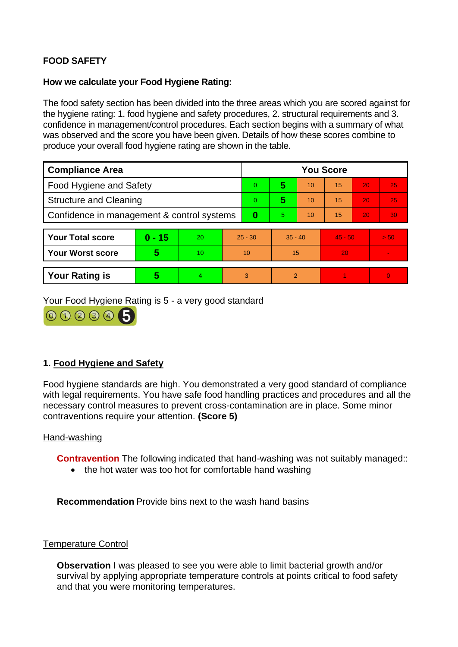# **FOOD SAFETY**

### **How we calculate your Food Hygiene Rating:**

The food safety section has been divided into the three areas which you are scored against for the hygiene rating: 1. food hygiene and safety procedures, 2. structural requirements and 3. confidence in management/control procedures. Each section begins with a summary of what was observed and the score you have been given. Details of how these scores combine to produce your overall food hygiene rating are shown in the table.

| <b>Compliance Area</b>                     |          |    |           | <b>You Score</b> |                |    |           |    |                |  |
|--------------------------------------------|----------|----|-----------|------------------|----------------|----|-----------|----|----------------|--|
| <b>Food Hygiene and Safety</b>             |          |    |           | $\Omega$         | 5              | 10 | 15        | 20 | 25             |  |
| <b>Structure and Cleaning</b>              |          |    | $\Omega$  | 5                | 10             | 15 | 20        | 25 |                |  |
| Confidence in management & control systems |          |    | 0         | 5.               | 10             | 15 | 20        | 30 |                |  |
|                                            |          |    |           |                  |                |    |           |    |                |  |
| <b>Your Total score</b>                    | $0 - 15$ | 20 | $25 - 30$ |                  | $35 - 40$      |    | $45 - 50$ |    | > 50           |  |
| <b>Your Worst score</b>                    | 5        | 10 | 10        |                  | 15             |    | 20        |    | $\blacksquare$ |  |
|                                            |          |    |           |                  |                |    |           |    |                |  |
| <b>Your Rating is</b>                      | 5        | 4  | 3         |                  | $\overline{2}$ |    |           |    | $\overline{0}$ |  |

Your Food Hygiene Rating is 5 - a very good standard



## **1. Food Hygiene and Safety**

Food hygiene standards are high. You demonstrated a very good standard of compliance with legal requirements. You have safe food handling practices and procedures and all the necessary control measures to prevent cross-contamination are in place. Some minor contraventions require your attention. **(Score 5)**

### Hand-washing

**Contravention** The following indicated that hand-washing was not suitably managed:

• the hot water was too hot for comfortable hand washing

**Recommendation** Provide bins next to the wash hand basins

#### Temperature Control

**Observation** I was pleased to see you were able to limit bacterial growth and/or survival by applying appropriate temperature controls at points critical to food safety and that you were monitoring temperatures.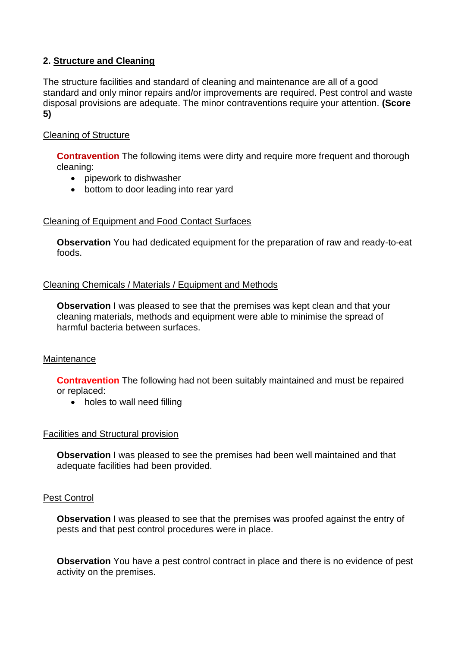## **2. Structure and Cleaning**

The structure facilities and standard of cleaning and maintenance are all of a good standard and only minor repairs and/or improvements are required. Pest control and waste disposal provisions are adequate. The minor contraventions require your attention. **(Score 5)**

## Cleaning of Structure

**Contravention** The following items were dirty and require more frequent and thorough cleaning:

- pipework to dishwasher
- bottom to door leading into rear yard

## Cleaning of Equipment and Food Contact Surfaces

**Observation** You had dedicated equipment for the preparation of raw and ready-to-eat foods.

### Cleaning Chemicals / Materials / Equipment and Methods

**Observation** I was pleased to see that the premises was kept clean and that your cleaning materials, methods and equipment were able to minimise the spread of harmful bacteria between surfaces.

### **Maintenance**

**Contravention** The following had not been suitably maintained and must be repaired or replaced:

• holes to wall need filling

### Facilities and Structural provision

**Observation** I was pleased to see the premises had been well maintained and that adequate facilities had been provided.

### Pest Control

**Observation** I was pleased to see that the premises was proofed against the entry of pests and that pest control procedures were in place.

**Observation** You have a pest control contract in place and there is no evidence of pest activity on the premises.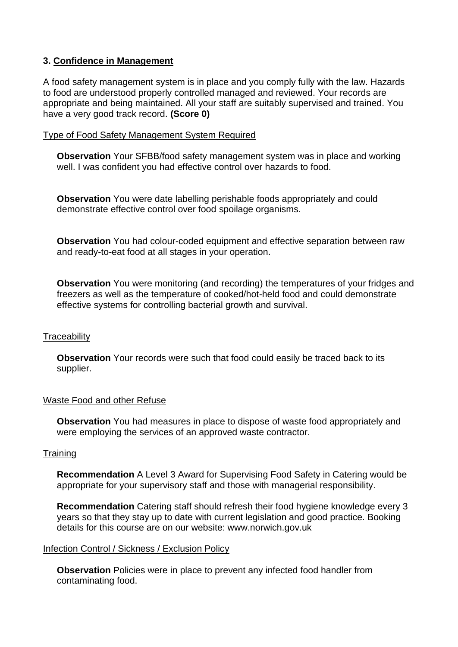## **3. Confidence in Management**

A food safety management system is in place and you comply fully with the law. Hazards to food are understood properly controlled managed and reviewed. Your records are appropriate and being maintained. All your staff are suitably supervised and trained. You have a very good track record. **(Score 0)**

#### Type of Food Safety Management System Required

**Observation** Your SFBB/food safety management system was in place and working well. I was confident you had effective control over hazards to food.

**Observation** You were date labelling perishable foods appropriately and could demonstrate effective control over food spoilage organisms.

**Observation** You had colour-coded equipment and effective separation between raw and ready-to-eat food at all stages in your operation.

**Observation** You were monitoring (and recording) the temperatures of your fridges and freezers as well as the temperature of cooked/hot-held food and could demonstrate effective systems for controlling bacterial growth and survival.

### **Traceability**

**Observation** Your records were such that food could easily be traced back to its supplier.

### Waste Food and other Refuse

**Observation** You had measures in place to dispose of waste food appropriately and were employing the services of an approved waste contractor.

#### **Training**

**Recommendation** A Level 3 Award for Supervising Food Safety in Catering would be appropriate for your supervisory staff and those with managerial responsibility.

**Recommendation** Catering staff should refresh their food hygiene knowledge every 3 years so that they stay up to date with current legislation and good practice. Booking details for this course are on our website: www.norwich.gov.uk

#### Infection Control / Sickness / Exclusion Policy

**Observation** Policies were in place to prevent any infected food handler from contaminating food.